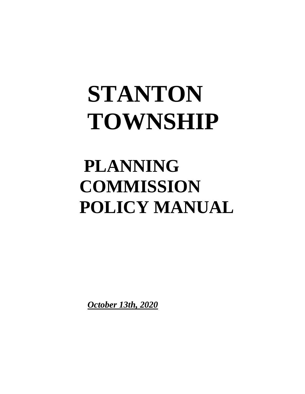# **STANTON TOWNSHIP**

## **PLANNING COMMISSION POLICY MANUAL**

*October 13th, 2020*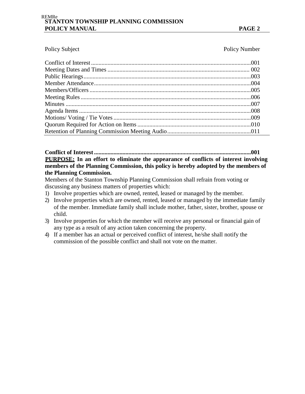#### **STANTON TOWNSHIP PLANNING COMMISSION POLICY MANUAL PAGE 2** REMRe

Policy Subject Policy Number

#### **Conflict of Interest.........................................................................................................001** <sup>U</sup>**PURPOSE:**U **In an effort to eliminate the appearance of conflicts of interest involving members of the Planning Commission, this policy is hereby adopted by the members of the Planning Commission.**

Members of the Stanton Township Planning Commission shall refrain from voting or discussing any business matters of properties which:

- 1) Involve properties which are owned, rented, leased or managed by the member.
- 2) Involve properties which are owned, rented, leased or managed by the immediate family of the member. Immediate family shall include mother, father, sister, brother, spouse or child.
- 3) Involve properties for which the member will receive any personal or financial gain of any type as a result of any action taken concerning the property.
- 4) If a member has an actual or perceived conflict of interest, he/she shall notify the commission of the possible conflict and shall not vote on the matter.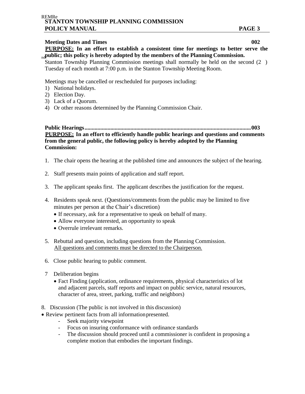#### **Meeting Dates and Times 002**

PURPOSE: In an effort to establish a consistent time for meetings to better serve the <sub>pd</sub> public; this policy is hereby adopted by the members of the Planning Commission.

Stanton Township Planning Commission meetings shall normally be held on the second  $(2)$ Tuesday of each month at 7:00 p.m. in the Stanton Township Meeting Room.

Meetings may be cancelled or rescheduled for purposes including:

- 1) National holidays.
- 2) Election Day.
- 3) Lack of a Quorum.
- 4) Or other reasons determined by the Planning Commission Chair.

**Public Hearings....................................................................................................................003 PURPOSE:** In an effort to efficiently handle public hearings and questions and comments **from the general public, the following policy is hereby adopted by the Planning Commission:**

- 1. The chair opens the hearing at the published time and announces the subject of the hearing.
- 2. Staff presents main points of application and staff report.
- 3. The applicant speaks first. The applicant describes the justification for the request.
- 4. Residents speak next. (Questions/comments from the public may be limited to five minutes per person at the Chair's discretion)
	- If necessary, ask for a representative to speak on behalf of many.
	- Allow everyone interested, an opportunity to speak
	- Overrule irrelevant remarks.
- 5. Rebuttal and question, including questions from the Planning Commission. All questions and comments must be directed to the Chairperson.
- 6. Close public hearing to public comment.
- 7 Deliberation begins
	- Fact Finding (application, ordinance requirements, physical characteristics of lot and adjacent parcels, staff reports and impact on public service, natural resources, character of area, street, parking, traffic and neighbors)
- 8. Discussion (The public is not involved in this discussion)
- Review pertinent facts from all informationpresented.
	- Seek majority viewpoint
	- Focus on insuring conformance with ordinance standards
	- The discussion should proceed until a commissioner is confident in proposing a complete motion that embodies the important findings.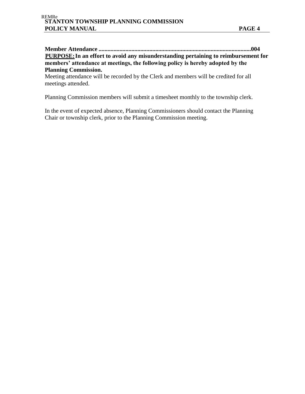**Member Attendance ......................................................................................................004 PURPOSE:** In an effort to avoid any misunderstanding pertaining to reimbursement for **members' attendance at meetings, the following policy is hereby adopted by the Planning Commission.**

Meeting attendance will be recorded by the Clerk and members will be credited for all meetings attended.

Planning Commission members will submit a timesheet monthly to the township clerk.

In the event of expected absence, Planning Commissioners should contact the Planning Chair or township clerk, prior to the Planning Commission meeting.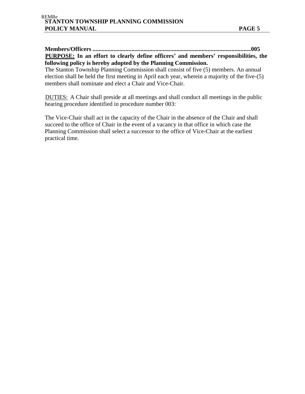**Members/Officers ..........................................................................................................005** <sup>U</sup>**PURPOSE:**U **In an effort to clearly define officers' and members' responsibilities, the following policy is hereby adopted by the Planning Commission.**

The Stanton Township Planning Commission shall consist of five (5) members. An annual election shall be held the first meeting in April each year, wherein a majority of the five-(5) members shall nominate and elect a Chair and Vice-Chair.

DUTIES: A Chair shall preside at all meetings and shall conduct all meetings in the public hearing procedure identified in procedure number 003:

The Vice-Chair shall act in the capacity of the Chair in the absence of the Chair and shall succeed to the office of Chair in the event of a vacancy in that office in which case the Planning Commission shall select a successor to the office of Vice-Chair at the earliest practical time.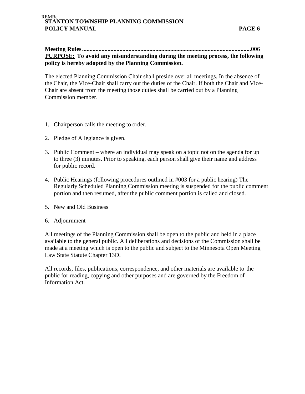#### **Meeting Rules.................................................................................................................006 PURPOSE:** To avoid any misunderstanding during the meeting process, the following **policy is hereby adopted by the Planning Commission.**

The elected Planning Commission Chair shall preside over all meetings. In the absence of the Chair, the Vice-Chair shall carry out the duties of the Chair. If both the Chair and Vice-Chair are absent from the meeting those duties shall be carried out by a Planning Commission member.

- 1. Chairperson calls the meeting to order.
- 2. Pledge of Allegiance is given.
- 3. Public Comment where an individual may speak on a topic not on the agenda for up to three (3) minutes. Prior to speaking, each person shall give their name and address for public record.
- 4. Public Hearings (following procedures outlined in #003 for a public hearing) The Regularly Scheduled Planning Commission meeting is suspended for the public comment portion and then resumed, after the public comment portion is called and closed.
- 5. New and Old Business
- 6. Adjournment

All meetings of the Planning Commission shall be open to the public and held in a place available to the general public. All deliberations and decisions of the Commission shall be made at a meeting which is open to the public and subject to the Minnesota Open Meeting Law State Statute Chapter 13D.

All records, files, publications, correspondence, and other materials are available to the public for reading, copying and other purposes and are governed by the Freedom of Information Act.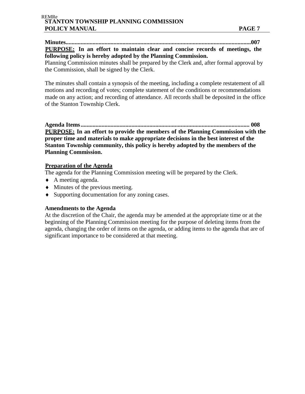**Minutes............................................................................................................................007** PURPOSE: In an effort to maintain clear and concise records of meetings, the **following policy is hereby adopted by the Planning Commission.**

Planning Commission minutes shall be prepared by the Clerk and, after formal approval by the Commission, shall be signed by the Clerk.

The minutes shall contain a synopsis of the meeting, including a complete restatement of all motions and recording of votes; complete statement of the conditions or recommendations made on any action; and recording of attendance. All records shall be deposited in the office of the Stanton Township Clerk.

**Agenda Items................................................................................................................. 008** <sup>U</sup>**PURPOSE:**U **In an effort to provide the members of the Planning Commission with the proper time and materials to make appropriate decisions in the best interest of the Stanton Township community, this policy is hereby adopted by the members of the Planning Commission.**

#### <sup>U</sup>**Preparation of the Agenda**

The agenda for the Planning Commission meeting will be prepared by the Clerk.

- A meeting agenda.
- $\blacklozenge$  Minutes of the previous meeting.
- Supporting documentation for any zoning cases.

#### **Amendments to the Agenda**

At the discretion of the Chair, the agenda may be amended at the appropriate time or at the beginning of the Planning Commission meeting for the purpose of deleting items from the agenda, changing the order of items on the agenda, or adding items to the agenda that are of significant importance to be considered at that meeting.